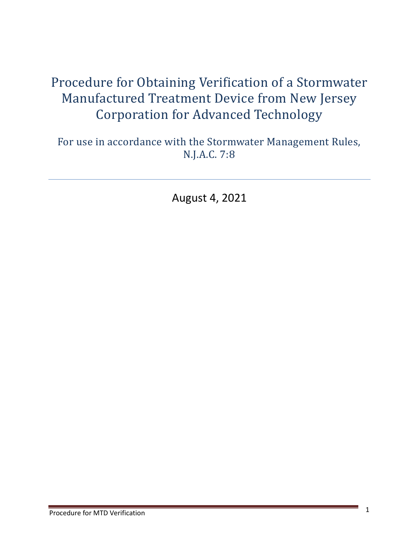# Procedure for Obtaining Verification of a Stormwater Manufactured Treatment Device from New Jersey Corporation for Advanced Technology

For use in accordance with the Stormwater Management Rules, N.J.A.C. 7:8

August 4, 2021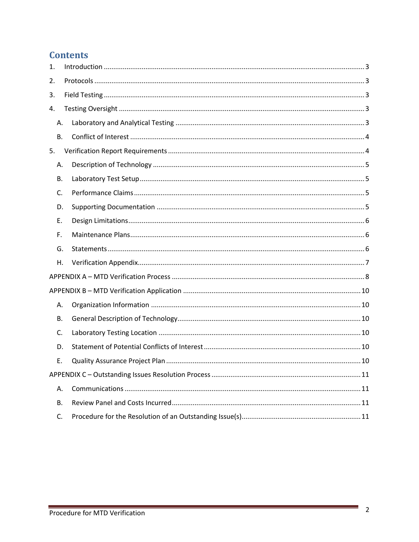# **Contents**

| 1.        |  |  |
|-----------|--|--|
| 2.        |  |  |
| 3.        |  |  |
| 4.        |  |  |
| Α.        |  |  |
| <b>B.</b> |  |  |
| 5.        |  |  |
| Α.        |  |  |
| В.        |  |  |
| C.        |  |  |
| D.        |  |  |
| Ε.        |  |  |
| F.        |  |  |
| G.        |  |  |
| Η.        |  |  |
|           |  |  |
|           |  |  |
|           |  |  |
| Α.        |  |  |
| В.        |  |  |
| C.        |  |  |
| D.        |  |  |
| Ε.        |  |  |
|           |  |  |
| А.        |  |  |
| В.        |  |  |

and in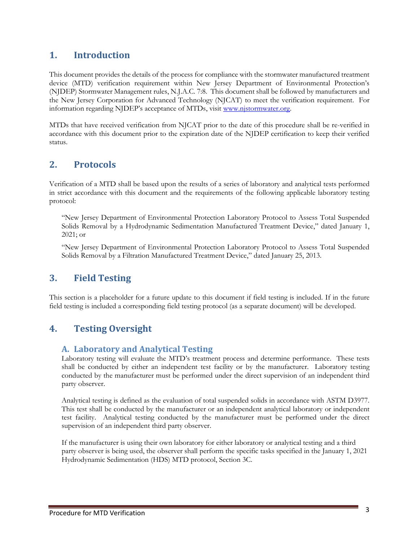# <span id="page-2-0"></span>**1. Introduction**

This document provides the details of the process for compliance with the stormwater manufactured treatment device (MTD) verification requirement within New Jersey Department of Environmental Protection's (NJDEP) Stormwater Management rules, N.J.A.C. 7:8. This document shall be followed by manufacturers and the New Jersey Corporation for Advanced Technology (NJCAT) to meet the verification requirement. For information regarding NJDEP's acceptance of MTDs, visit [www.njstormwater.org.](http://www.njstormwater.org/)

MTDs that have received verification from NJCAT prior to the date of this procedure shall be re-verified in accordance with this document prior to the expiration date of the NJDEP certification to keep their verified status.

## <span id="page-2-1"></span>**2. Protocols**

Verification of a MTD shall be based upon the results of a series of laboratory and analytical tests performed in strict accordance with this document and the requirements of the following applicable laboratory testing protocol:

"New Jersey Department of Environmental Protection Laboratory Protocol to Assess Total Suspended Solids Removal by a Hydrodynamic Sedimentation Manufactured Treatment Device," dated January 1, 2021; or

"New Jersey Department of Environmental Protection Laboratory Protocol to Assess Total Suspended Solids Removal by a Filtration Manufactured Treatment Device," dated January 25, 2013.

## <span id="page-2-2"></span>**3. Field Testing**

This section is a placeholder for a future update to this document if field testing is included. If in the future field testing is included a corresponding field testing protocol (as a separate document) will be developed.

## <span id="page-2-3"></span>**4. Testing Oversight**

#### **A. Laboratory and Analytical Testing**

Laboratory testing will evaluate the MTD's treatment process and determine performance. These tests shall be conducted by either an independent test facility or by the manufacturer. Laboratory testing conducted by the manufacturer must be performed under the direct supervision of an independent third party observer.

Analytical testing is defined as the evaluation of total suspended solids in accordance with ASTM D3977. This test shall be conducted by the manufacturer or an independent analytical laboratory or independent test facility. Analytical testing conducted by the manufacturer must be performed under the direct supervision of an independent third party observer.

If the manufacturer is using their own laboratory for either laboratory or analytical testing and a third party observer is being used, the observer shall perform the specific tasks specified in the January 1, 2021 Hydrodynamic Sedimentation (HDS) MTD protocol, Section 3C.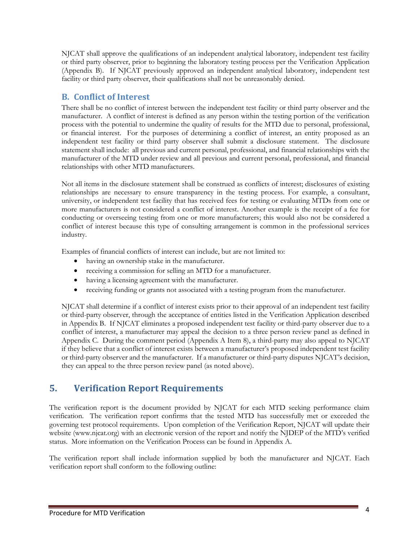NJCAT shall approve the qualifications of an independent analytical laboratory, independent test facility or third party observer, prior to beginning the laboratory testing process per the Verification Application (Appendix B). If NJCAT previously approved an independent analytical laboratory, independent test facility or third party observer, their qualifications shall not be unreasonably denied.

## <span id="page-3-0"></span>**B. Conflict of Interest**

There shall be no conflict of interest between the independent test facility or third party observer and the manufacturer. A conflict of interest is defined as any person within the testing portion of the verification process with the potential to undermine the quality of results for the MTD due to personal, professional, or financial interest. For the purposes of determining a conflict of interest, an entity proposed as an independent test facility or third party observer shall submit a disclosure statement. The disclosure statement shall include: all previous and current personal, professional, and financial relationships with the manufacturer of the MTD under review and all previous and current personal, professional, and financial relationships with other MTD manufacturers.

Not all items in the disclosure statement shall be construed as conflicts of interest; disclosures of existing relationships are necessary to ensure transparency in the testing process. For example, a consultant, university, or independent test facility that has received fees for testing or evaluating MTDs from one or more manufacturers is not considered a conflict of interest. Another example is the receipt of a fee for conducting or overseeing testing from one or more manufacturers; this would also not be considered a conflict of interest because this type of consulting arrangement is common in the professional services industry.

Examples of financial conflicts of interest can include, but are not limited to:

- having an ownership stake in the manufacturer.
- receiving a commission for selling an MTD for a manufacturer.
- having a licensing agreement with the manufacturer.
- receiving funding or grants not associated with a testing program from the manufacturer.

NJCAT shall determine if a conflict of interest exists prior to their approval of an independent test facility or third-party observer, through the acceptance of entities listed in the Verification Application described in Appendix B. If NJCAT eliminates a proposed independent test facility or third-party observer due to a conflict of interest, a manufacturer may appeal the decision to a three person review panel as defined in Appendix C. During the comment period (Appendix A Item 8), a third-party may also appeal to NJCAT if they believe that a conflict of interest exists between a manufacturer's proposed independent test facility or third-party observer and the manufacturer. If a manufacturer or third-party disputes NJCAT's decision, they can appeal to the three person review panel (as noted above).

# <span id="page-3-1"></span>**5. Verification Report Requirements**

The verification report is the document provided by NJCAT for each MTD seeking performance claim verification. The verification report confirms that the tested MTD has successfully met or exceeded the governing test protocol requirements. Upon completion of the Verification Report, NJCAT will update their website (www.njcat.org) with an electronic version of the report and notify the NJDEP of the MTD's verified status. More information on the Verification Process can be found in Appendix A.

The verification report shall include information supplied by both the manufacturer and NJCAT. Each verification report shall conform to the following outline: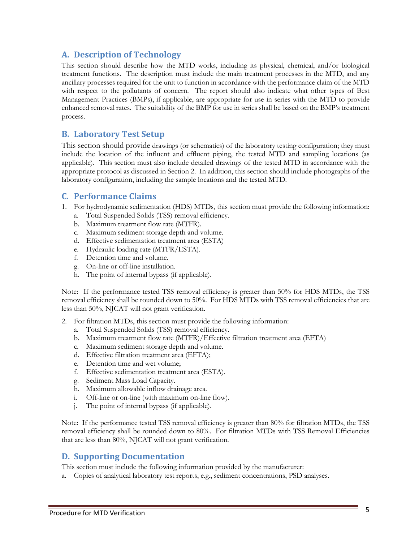#### <span id="page-4-0"></span>**A. Description of Technology**

This section should describe how the MTD works, including its physical, chemical, and/or biological treatment functions. The description must include the main treatment processes in the MTD, and any ancillary processes required for the unit to function in accordance with the performance claim of the MTD with respect to the pollutants of concern. The report should also indicate what other types of Best Management Practices (BMPs), if applicable, are appropriate for use in series with the MTD to provide enhanced removal rates. The suitability of the BMP for use in series shall be based on the BMP's treatment process.

#### <span id="page-4-1"></span>**B. Laboratory Test Setup**

This section should provide drawings (or schematics) of the laboratory testing configuration; they must include the location of the influent and effluent piping, the tested MTD and sampling locations (as applicable). This section must also include detailed drawings of the tested MTD in accordance with the appropriate protocol as discussed in Section 2. In addition, this section should include photographs of the laboratory configuration, including the sample locations and the tested MTD.

#### <span id="page-4-2"></span>**C. Performance Claims**

- 1. For hydrodynamic sedimentation (HDS) MTDs, this section must provide the following information:
	- a. Total Suspended Solids (TSS) removal efficiency.
	- b. Maximum treatment flow rate (MTFR).
	- c. Maximum sediment storage depth and volume.
	- d. Effective sedimentation treatment area (ESTA)
	- e. Hydraulic loading rate (MTFR/ESTA).
	- f. Detention time and volume.
	- g. On-line or off-line installation.
	- h. The point of internal bypass (if applicable).

Note: If the performance tested TSS removal efficiency is greater than 50% for HDS MTDs, the TSS removal efficiency shall be rounded down to 50%. For HDS MTDs with TSS removal efficiencies that are less than 50%, NJCAT will not grant verification.

- 2. For filtration MTDs, this section must provide the following information:
	- a. Total Suspended Solids (TSS) removal efficiency.
	- b. Maximum treatment flow rate (MTFR)/Effective filtration treatment area (EFTA)
	- c. Maximum sediment storage depth and volume.
	- d. Effective filtration treatment area (EFTA);
	- e. Detention time and wet volume;
	- f. Effective sedimentation treatment area (ESTA).
	- g. Sediment Mass Load Capacity.
	- h. Maximum allowable inflow drainage area.
	- i. Off-line or on-line (with maximum on-line flow).
	- j. The point of internal bypass (if applicable).

Note: If the performance tested TSS removal efficiency is greater than 80% for filtration MTDs, the TSS removal efficiency shall be rounded down to 80%. For filtration MTDs with TSS Removal Efficiencies that are less than 80%, NJCAT will not grant verification.

#### <span id="page-4-3"></span>**D. Supporting Documentation**

This section must include the following information provided by the manufacturer:

a. Copies of analytical laboratory test reports, e.g., sediment concentrations, PSD analyses.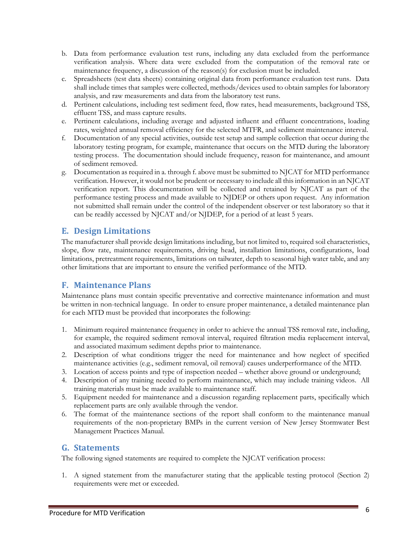- b. Data from performance evaluation test runs, including any data excluded from the performance verification analysis. Where data were excluded from the computation of the removal rate or maintenance frequency, a discussion of the reason(s) for exclusion must be included.
- c. Spreadsheets (test data sheets) containing original data from performance evaluation test runs. Data shall include times that samples were collected, methods/devices used to obtain samples for laboratory analysis, and raw measurements and data from the laboratory test runs.
- d. Pertinent calculations, including test sediment feed, flow rates, head measurements, background TSS, effluent TSS, and mass capture results.
- e. Pertinent calculations, including average and adjusted influent and effluent concentrations, loading rates, weighted annual removal efficiency for the selected MTFR, and sediment maintenance interval.
- f. Documentation of any special activities, outside test setup and sample collection that occur during the laboratory testing program, for example, maintenance that occurs on the MTD during the laboratory testing process. The documentation should include frequency, reason for maintenance, and amount of sediment removed.
- g. Documentation as required in a. through f. above must be submitted to NJCAT for MTD performance verification. However, it would not be prudent or necessary to include all this information in an NJCAT verification report. This documentation will be collected and retained by NJCAT as part of the performance testing process and made available to NJDEP or others upon request. Any information not submitted shall remain under the control of the independent observer or test laboratory so that it can be readily accessed by NJCAT and/or NJDEP, for a period of at least 5 years.

## <span id="page-5-0"></span>**E. Design Limitations**

The manufacturer shall provide design limitations including, but not limited to, required soil characteristics, slope, flow rate, maintenance requirements, driving head, installation limitations, configurations, load limitations, pretreatment requirements, limitations on tailwater, depth to seasonal high water table, and any other limitations that are important to ensure the verified performance of the MTD.

## <span id="page-5-1"></span>**F. Maintenance Plans**

Maintenance plans must contain specific preventative and corrective maintenance information and must be written in non-technical language. In order to ensure proper maintenance, a detailed maintenance plan for each MTD must be provided that incorporates the following:

- 1. Minimum required maintenance frequency in order to achieve the annual TSS removal rate, including, for example, the required sediment removal interval, required filtration media replacement interval, and associated maximum sediment depths prior to maintenance.
- 2. Description of what conditions trigger the need for maintenance and how neglect of specified maintenance activities (e.g., sediment removal, oil removal) causes underperformance of the MTD.
- 3. Location of access points and type of inspection needed whether above ground or underground;
- 4. Description of any training needed to perform maintenance, which may include training videos. All training materials must be made available to maintenance staff.
- 5. Equipment needed for maintenance and a discussion regarding replacement parts, specifically which replacement parts are only available through the vendor.
- 6. The format of the maintenance sections of the report shall conform to the maintenance manual requirements of the non-proprietary BMPs in the current version of New Jersey Stormwater Best Management Practices Manual.

#### <span id="page-5-2"></span>**G. Statements**

The following signed statements are required to complete the NJCAT verification process:

1. A signed statement from the manufacturer stating that the applicable testing protocol (Section 2) requirements were met or exceeded.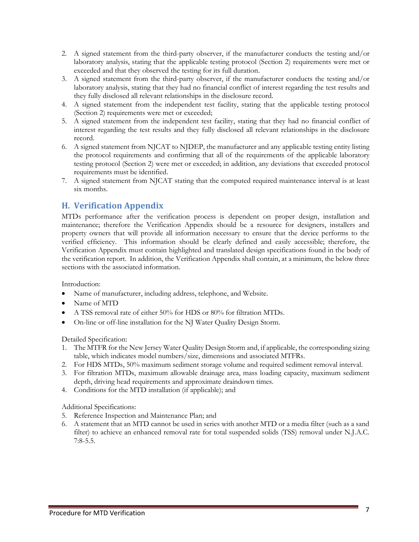- 2. A signed statement from the third-party observer, if the manufacturer conducts the testing and/or laboratory analysis, stating that the applicable testing protocol (Section 2) requirements were met or exceeded and that they observed the testing for its full duration.
- 3. A signed statement from the third-party observer, if the manufacturer conducts the testing and/or laboratory analysis, stating that they had no financial conflict of interest regarding the test results and they fully disclosed all relevant relationships in the disclosure record.
- 4. A signed statement from the independent test facility, stating that the applicable testing protocol (Section 2) requirements were met or exceeded;
- 5. A signed statement from the independent test facility, stating that they had no financial conflict of interest regarding the test results and they fully disclosed all relevant relationships in the disclosure record.
- 6. A signed statement from NJCAT to NJDEP, the manufacturer and any applicable testing entity listing the protocol requirements and confirming that all of the requirements of the applicable laboratory testing protocol (Section 2) were met or exceeded; in addition, any deviations that exceeded protocol requirements must be identified.
- 7. A signed statement from NJCAT stating that the computed required maintenance interval is at least six months.

#### <span id="page-6-0"></span>**H. Verification Appendix**

MTDs performance after the verification process is dependent on proper design, installation and maintenance; therefore the Verification Appendix should be a resource for designers, installers and property owners that will provide all information necessary to ensure that the device performs to the verified efficiency. This information should be clearly defined and easily accessible; therefore, the Verification Appendix must contain highlighted and translated design specifications found in the body of the verification report. In addition, the Verification Appendix shall contain, at a minimum, the below three sections with the associated information.

Introduction:

- Name of manufacturer, including address, telephone, and Website.
- Name of MTD
- A TSS removal rate of either 50% for HDS or 80% for filtration MTDs.
- On-line or off-line installation for the NJ Water Quality Design Storm.

Detailed Specification:

- 1. The MTFR for the New Jersey Water Quality Design Storm and, if applicable, the corresponding sizing table, which indicates model numbers/size, dimensions and associated MTFRs.
- 2. For HDS MTDs, 50% maximum sediment storage volume and required sediment removal interval.
- 3. For filtration MTDs, maximum allowable drainage area, mass loading capacity, maximum sediment depth, driving head requirements and approximate draindown times.
- 4. Conditions for the MTD installation (if applicable); and

Additional Specifications:

- 5. Reference Inspection and Maintenance Plan; and
- 6. A statement that an MTD cannot be used in series with another MTD or a media filter (such as a sand filter) to achieve an enhanced removal rate for total suspended solids (TSS) removal under N.J.A.C. 7:8-5.5.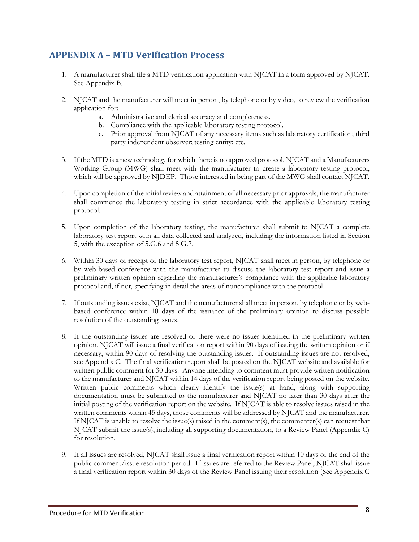# <span id="page-7-0"></span>**APPENDIX A – MTD Verification Process**

- 1. A manufacturer shall file a MTD verification application with NJCAT in a form approved by NJCAT. See Appendix B.
- 2. NJCAT and the manufacturer will meet in person, by telephone or by video, to review the verification application for:
	- a. Administrative and clerical accuracy and completeness.
	- b. Compliance with the applicable laboratory testing protocol.
	- c. Prior approval from NJCAT of any necessary items such as laboratory certification; third party independent observer; testing entity; etc.
- 3. If the MTD is a new technology for which there is no approved protocol, NJCAT and a Manufacturers Working Group (MWG) shall meet with the manufacturer to create a laboratory testing protocol, which will be approved by NJDEP. Those interested in being part of the MWG shall contact NJCAT.
- 4. Upon completion of the initial review and attainment of all necessary prior approvals, the manufacturer shall commence the laboratory testing in strict accordance with the applicable laboratory testing protocol.
- 5. Upon completion of the laboratory testing, the manufacturer shall submit to NJCAT a complete laboratory test report with all data collected and analyzed, including the information listed in Section 5, with the exception of 5.G.6 and 5.G.7.
- 6. Within 30 days of receipt of the laboratory test report, NJCAT shall meet in person, by telephone or by web-based conference with the manufacturer to discuss the laboratory test report and issue a preliminary written opinion regarding the manufacturer's compliance with the applicable laboratory protocol and, if not, specifying in detail the areas of noncompliance with the protocol.
- 7. If outstanding issues exist, NJCAT and the manufacturer shall meet in person, by telephone or by webbased conference within 10 days of the issuance of the preliminary opinion to discuss possible resolution of the outstanding issues.
- 8. If the outstanding issues are resolved or there were no issues identified in the preliminary written opinion, NJCAT will issue a final verification report within 90 days of issuing the written opinion or if necessary, within 90 days of resolving the outstanding issues. If outstanding issues are not resolved, see Appendix C. The final verification report shall be posted on the NJCAT website and available for written public comment for 30 days. Anyone intending to comment must provide written notification to the manufacturer and NJCAT within 14 days of the verification report being posted on the website. Written public comments which clearly identify the issue(s) at hand, along with supporting documentation must be submitted to the manufacturer and NJCAT no later than 30 days after the initial posting of the verification report on the website. If NJCAT is able to resolve issues raised in the written comments within 45 days, those comments will be addressed by NJCAT and the manufacturer. If NJCAT is unable to resolve the issue(s) raised in the comment(s), the commenter(s) can request that NJCAT submit the issue(s), including all supporting documentation, to a Review Panel (Appendix C) for resolution.
- 9. If all issues are resolved, NJCAT shall issue a final verification report within 10 days of the end of the public comment/issue resolution period. If issues are referred to the Review Panel, NJCAT shall issue a final verification report within 30 days of the Review Panel issuing their resolution (See Appendix C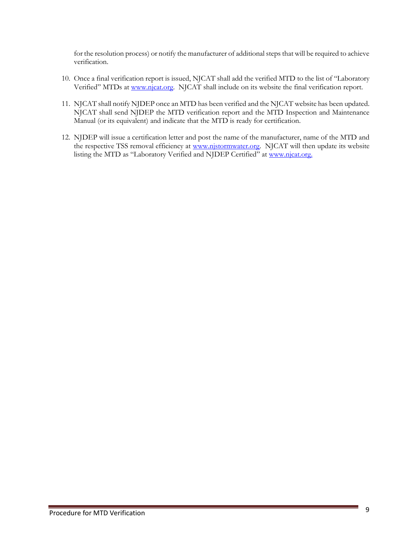for the resolution process) or notify the manufacturer of additional steps that will be required to achieve verification.

- 10. Once a final verification report is issued, NJCAT shall add the verified MTD to the list of "Laboratory Verified" MTDs a[t www.njcat.org.](http://www.njcat.org/) NJCAT shall include on its website the final verification report.
- 11. NJCAT shall notify NJDEP once an MTD has been verified and the NJCAT website has been updated. NJCAT shall send NJDEP the MTD verification report and the MTD Inspection and Maintenance Manual (or its equivalent) and indicate that the MTD is ready for certification.
- 12. NJDEP will issue a certification letter and post the name of the manufacturer, name of the MTD and the respective TSS removal efficiency at [www.njstormwater.org.](http://www.njstormwater.org/) NJCAT will then update its website listing the MTD as "Laboratory Verified and NJDEP Certified" at [www.njcat.org.](http://www.njcat.org/)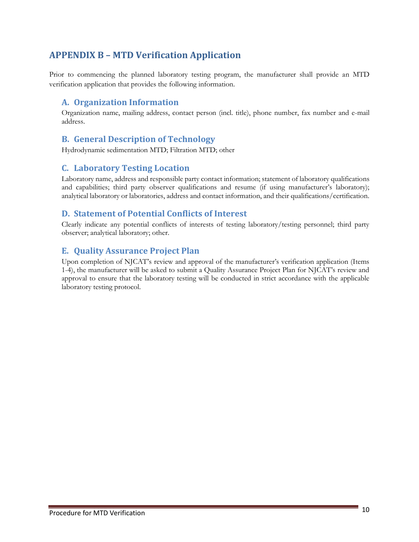# <span id="page-9-0"></span>**APPENDIX B – MTD Verification Application**

Prior to commencing the planned laboratory testing program, the manufacturer shall provide an MTD verification application that provides the following information.

#### <span id="page-9-1"></span>**A. Organization Information**

Organization name, mailing address, contact person (incl. title), phone number, fax number and e-mail address.

#### <span id="page-9-2"></span>**B. General Description of Technology**

Hydrodynamic sedimentation MTD; Filtration MTD; other

#### <span id="page-9-3"></span>**C. Laboratory Testing Location**

Laboratory name, address and responsible party contact information; statement of laboratory qualifications and capabilities; third party observer qualifications and resume (if using manufacturer's laboratory); analytical laboratory or laboratories, address and contact information, and their qualifications/certification.

#### <span id="page-9-4"></span>**D. Statement of Potential Conflicts of Interest**

Clearly indicate any potential conflicts of interests of testing laboratory/testing personnel; third party observer; analytical laboratory; other.

#### <span id="page-9-5"></span>**E. Quality Assurance Project Plan**

Upon completion of NJCAT's review and approval of the manufacturer's verification application (Items 1-4), the manufacturer will be asked to submit a Quality Assurance Project Plan for NJCAT's review and approval to ensure that the laboratory testing will be conducted in strict accordance with the applicable laboratory testing protocol.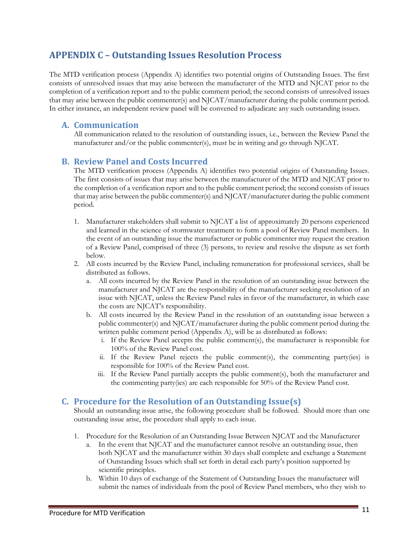## <span id="page-10-0"></span>**APPENDIX C – Outstanding Issues Resolution Process**

The MTD verification process (Appendix A) identifies two potential origins of Outstanding Issues. The first consists of unresolved issues that may arise between the manufacturer of the MTD and NJCAT prior to the completion of a verification report and to the public comment period; the second consists of unresolved issues that may arise between the public commenter(s) and NJCAT/manufacturer during the public comment period. In either instance, an independent review panel will be convened to adjudicate any such outstanding issues.

#### <span id="page-10-1"></span>**A. Communication**

All communication related to the resolution of outstanding issues, i.e., between the Review Panel the manufacturer and/or the public commenter(s), must be in writing and go through NJCAT.

#### **B. Review Panel and Costs Incurred**

The MTD verification process (Appendix A) identifies two potential origins of Outstanding Issues. The first consists of issues that may arise between the manufacturer of the MTD and NJCAT prior to the completion of a verification report and to the public comment period; the second consists of issues that may arise between the public commenter(s) and NJCAT/manufacturer during the public comment period.

- 1. Manufacturer stakeholders shall submit to NJCAT a list of approximately 20 persons experienced and learned in the science of stormwater treatment to form a pool of Review Panel members. In the event of an outstanding issue the manufacturer or public commenter may request the creation of a Review Panel, comprised of three (3) persons, to review and resolve the dispute as set forth below.
- 2. All costs incurred by the Review Panel, including remuneration for professional services, shall be distributed as follows.
	- a. All costs incurred by the Review Panel in the resolution of an outstanding issue between the manufacturer and NJCAT are the responsibility of the manufacturer seeking resolution of an issue with NJCAT, unless the Review Panel rules in favor of the manufacturer, in which case the costs are NJCAT's responsibility.
	- b. All costs incurred by the Review Panel in the resolution of an outstanding issue between a public commenter(s) and NJCAT/manufacturer during the public comment period during the written public comment period (Appendix A), will be as distributed as follows:
		- i. If the Review Panel accepts the public comment(s), the manufacturer is responsible for 100% of the Review Panel cost.
		- ii. If the Review Panel rejects the public comment(s), the commenting party(ies) is responsible for 100% of the Review Panel cost.
		- iii. If the Review Panel partially accepts the public comment(s), both the manufacturer and the commenting party(ies) are each responsible for 50% of the Review Panel cost.

#### **C. Procedure for the Resolution of an Outstanding Issue(s)**

Should an outstanding issue arise, the following procedure shall be followed. Should more than one outstanding issue arise, the procedure shall apply to each issue.

- 1. Procedure for the Resolution of an Outstanding Issue Between NJCAT and the Manufacturer
	- a. In the event that NJCAT and the manufacturer cannot resolve an outstanding issue, then both NJCAT and the manufacturer within 30 days shall complete and exchange a Statement of Outstanding Issues which shall set forth in detail each party's position supported by scientific principles.
	- b. Within 10 days of exchange of the Statement of Outstanding Issues the manufacturer will submit the names of individuals from the pool of Review Panel members, who they wish to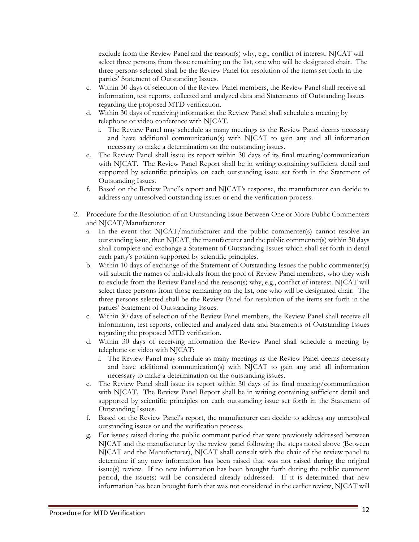exclude from the Review Panel and the reason(s) why, e.g., conflict of interest. NJCAT will select three persons from those remaining on the list, one who will be designated chair. The three persons selected shall be the Review Panel for resolution of the items set forth in the parties' Statement of Outstanding Issues.

- c. Within 30 days of selection of the Review Panel members, the Review Panel shall receive all information, test reports, collected and analyzed data and Statements of Outstanding Issues regarding the proposed MTD verification.
- d. Within 30 days of receiving information the Review Panel shall schedule a meeting by telephone or video conference with NJCAT.
	- i. The Review Panel may schedule as many meetings as the Review Panel deems necessary and have additional communication(s) with NJCAT to gain any and all information necessary to make a determination on the outstanding issues.
- e. The Review Panel shall issue its report within 30 days of its final meeting/communication with NJCAT. The Review Panel Report shall be in writing containing sufficient detail and supported by scientific principles on each outstanding issue set forth in the Statement of Outstanding Issues.
- f. Based on the Review Panel's report and NJCAT's response, the manufacturer can decide to address any unresolved outstanding issues or end the verification process.
- 2. Procedure for the Resolution of an Outstanding Issue Between One or More Public Commenters and NJCAT/Manufacturer
	- a. In the event that NJCAT/manufacturer and the public commenter(s) cannot resolve an outstanding issue, then NJCAT, the manufacturer and the public commenter(s) within 30 days shall complete and exchange a Statement of Outstanding Issues which shall set forth in detail each party's position supported by scientific principles.
	- b. Within 10 days of exchange of the Statement of Outstanding Issues the public commenter(s) will submit the names of individuals from the pool of Review Panel members, who they wish to exclude from the Review Panel and the reason(s) why, e.g., conflict of interest. NJCAT will select three persons from those remaining on the list, one who will be designated chair. The three persons selected shall be the Review Panel for resolution of the items set forth in the parties' Statement of Outstanding Issues.
	- c. Within 30 days of selection of the Review Panel members, the Review Panel shall receive all information, test reports, collected and analyzed data and Statements of Outstanding Issues regarding the proposed MTD verification.
	- d. Within 30 days of receiving information the Review Panel shall schedule a meeting by telephone or video with NJCAT:
		- i. The Review Panel may schedule as many meetings as the Review Panel deems necessary and have additional communication(s) with NJCAT to gain any and all information necessary to make a determination on the outstanding issues.
	- e. The Review Panel shall issue its report within 30 days of its final meeting/communication with NJCAT. The Review Panel Report shall be in writing containing sufficient detail and supported by scientific principles on each outstanding issue set forth in the Statement of Outstanding Issues.
	- f. Based on the Review Panel's report, the manufacturer can decide to address any unresolved outstanding issues or end the verification process.
	- g. For issues raised during the public comment period that were previously addressed between NJCAT and the manufacturer by the review panel following the steps noted above (Between NJCAT and the Manufacturer), NJCAT shall consult with the chair of the review panel to determine if any new information has been raised that was not raised during the original issue(s) review. If no new information has been brought forth during the public comment period, the issue(s) will be considered already addressed. If it is determined that new information has been brought forth that was not considered in the earlier review, NJCAT will